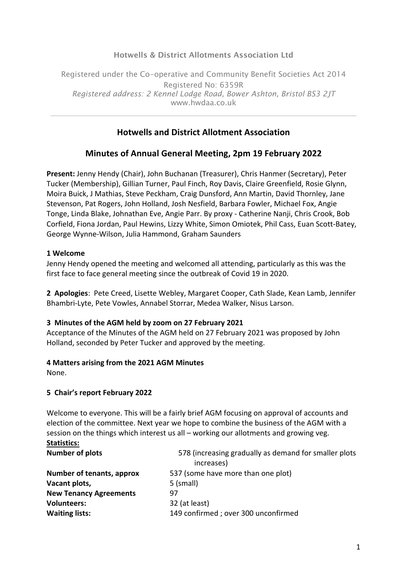## Hotwells & District Allotments Association Ltd

Registered under the Co-operative and Community Benefit Societies Act 2014 Registered No: 6359R *Registered address: 2 Kennel Lodge Road, Bower Ashton, Bristol BS3 2JT*  www.hwdaa.co.uk

# **Hotwells and District Allotment Association**

# **Minutes of Annual General Meeting, 2pm 19 February 2022**

**Present:** Jenny Hendy (Chair), John Buchanan (Treasurer), Chris Hanmer (Secretary), Peter Tucker (Membership), Gillian Turner, Paul Finch, Roy Davis, Claire Greenfield, Rosie Glynn, Moira Buick, J Mathias, Steve Peckham, Craig Dunsford, Ann Martin, David Thornley, Jane Stevenson, Pat Rogers, John Holland, Josh Nesfield, Barbara Fowler, Michael Fox, Angie Tonge, Linda Blake, Johnathan Eve, Angie Parr. By proxy - Catherine Nanji, Chris Crook, Bob Corfield, Fiona Jordan, Paul Hewins, Lizzy White, Simon Omiotek, Phil Cass, Euan Scott-Batey, George Wynne-Wilson, Julia Hammond, Graham Saunders

## **1 Welcome**

Jenny Hendy opened the meeting and welcomed all attending, particularly as this was the first face to face general meeting since the outbreak of Covid 19 in 2020.

**2 Apologies**: Pete Creed, Lisette Webley, Margaret Cooper, Cath Slade, Kean Lamb, Jennifer Bhambri-Lyte, Pete Vowles, Annabel Storrar, Medea Walker, Nisus Larson.

## **3 Minutes of the AGM held by zoom on 27 February 2021**

Acceptance of the Minutes of the AGM held on 27 February 2021 was proposed by John Holland, seconded by Peter Tucker and approved by the meeting.

## **4 Matters arising from the 2021 AGM Minutes**

None.

## **5 Chair's report February 2022**

Welcome to everyone. This will be a fairly brief AGM focusing on approval of accounts and election of the committee. Next year we hope to combine the business of the AGM with a session on the things which interest us all – working our allotments and growing veg. **Statistics:**

| <b>Number of plots</b>        | 578 (increasing gradually as demand for smaller plots |
|-------------------------------|-------------------------------------------------------|
|                               | increases)                                            |
| Number of tenants, approx     | 537 (some have more than one plot)                    |
| Vacant plots,                 | 5 (small)                                             |
| <b>New Tenancy Agreements</b> | 97                                                    |
| <b>Volunteers:</b>            | 32 (at least)                                         |
| <b>Waiting lists:</b>         | 149 confirmed; over 300 unconfirmed                   |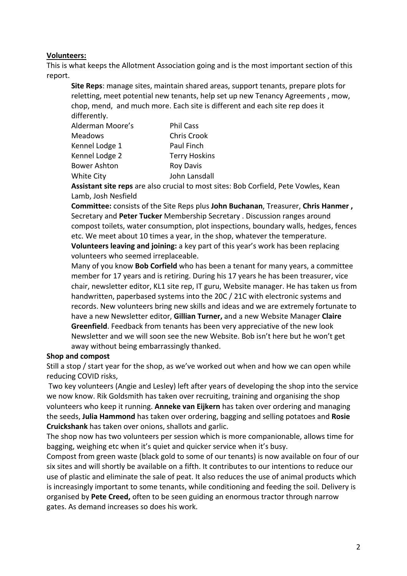#### **Volunteers:**

This is what keeps the Allotment Association going and is the most important section of this report.

**Site Reps**: manage sites, maintain shared areas, support tenants, prepare plots for reletting, meet potential new tenants, help set up new Tenancy Agreements , mow, chop, mend, and much more. Each site is different and each site rep does it differently.

| Alderman Moore's    | <b>Phil Cass</b>     |
|---------------------|----------------------|
| <b>Meadows</b>      | <b>Chris Crook</b>   |
| Kennel Lodge 1      | Paul Finch           |
| Kennel Lodge 2      | <b>Terry Hoskins</b> |
| <b>Bower Ashton</b> | <b>Roy Davis</b>     |
| <b>White City</b>   | John Lansdall        |

**Assistant site reps** are also crucial to most sites: Bob Corfield, Pete Vowles, Kean Lamb, Josh Nesfield

**Committee:** consists of the Site Reps plus **John Buchanan**, Treasurer, **Chris Hanmer ,** Secretary and **Peter Tucker** Membership Secretary . Discussion ranges around compost toilets, water consumption, plot inspections, boundary walls, hedges, fences etc. We meet about 10 times a year, in the shop, whatever the temperature.

**Volunteers leaving and joining:** a key part of this year's work has been replacing volunteers who seemed irreplaceable.

Many of you know **Bob Corfield** who has been a tenant for many years, a committee member for 17 years and is retiring. During his 17 years he has been treasurer, vice chair, newsletter editor, KL1 site rep, IT guru, Website manager. He has taken us from handwritten, paperbased systems into the 20C / 21C with electronic systems and records. New volunteers bring new skills and ideas and we are extremely fortunate to have a new Newsletter editor, **Gillian Turner,** and a new Website Manager **Claire Greenfield**. Feedback from tenants has been very appreciative of the new look Newsletter and we will soon see the new Website. Bob isn't here but he won't get away without being embarrassingly thanked.

#### **Shop and compost**

Still a stop / start year for the shop, as we've worked out when and how we can open while reducing COVID risks,

Two key volunteers (Angie and Lesley) left after years of developing the shop into the service we now know. Rik Goldsmith has taken over recruiting, training and organising the shop volunteers who keep it running. **Anneke van Eijkern** has taken over ordering and managing the seeds, **Julia Hammond** has taken over ordering, bagging and selling potatoes and **Rosie Cruickshank** has taken over onions, shallots and garlic.

The shop now has two volunteers per session which is more companionable, allows time for bagging, weighing etc when it's quiet and quicker service when it's busy.

Compost from green waste (black gold to some of our tenants) is now available on four of our six sites and will shortly be available on a fifth. It contributes to our intentions to reduce our use of plastic and eliminate the sale of peat. It also reduces the use of animal products which is increasingly important to some tenants, while conditioning and feeding the soil. Delivery is organised by **Pete Creed,** often to be seen guiding an enormous tractor through narrow gates. As demand increases so does his work.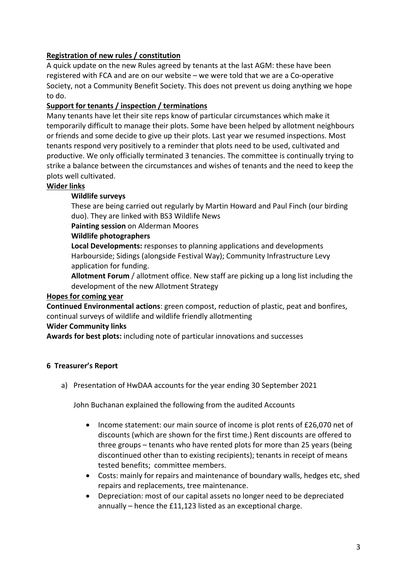## **Registration of new rules / constitution**

A quick update on the new Rules agreed by tenants at the last AGM: these have been registered with FCA and are on our website – we were told that we are a Co-operative Society, not a Community Benefit Society. This does not prevent us doing anything we hope to do.

## **Support for tenants / inspection / terminations**

Many tenants have let their site reps know of particular circumstances which make it temporarily difficult to manage their plots. Some have been helped by allotment neighbours or friends and some decide to give up their plots. Last year we resumed inspections. Most tenants respond very positively to a reminder that plots need to be used, cultivated and productive. We only officially terminated 3 tenancies. The committee is continually trying to strike a balance between the circumstances and wishes of tenants and the need to keep the plots well cultivated.

#### **Wider links**

#### **Wildlife surveys**

These are being carried out regularly by Martin Howard and Paul Finch (our birding duo). They are linked with BS3 Wildlife News

**Painting session** on Alderman Moores

#### **Wildlife photographers**

**Local Developments:** responses to planning applications and developments Harbourside; Sidings (alongside Festival Way); Community Infrastructure Levy application for funding.

**Allotment Forum** / allotment office. New staff are picking up a long list including the development of the new Allotment Strategy

#### **Hopes for coming year**

**Continued Environmental actions**: green compost, reduction of plastic, peat and bonfires, continual surveys of wildlife and wildlife friendly allotmenting

#### **Wider Community links**

**Awards for best plots:** including note of particular innovations and successes

## **6 Treasurer's Report**

a) Presentation of HwDAA accounts for the year ending 30 September 2021

John Buchanan explained the following from the audited Accounts

- Income statement: our main source of income is plot rents of £26,070 net of discounts (which are shown for the first time.) Rent discounts are offered to three groups – tenants who have rented plots for more than 25 years (being discontinued other than to existing recipients); tenants in receipt of means tested benefits; committee members.
- Costs: mainly for repairs and maintenance of boundary walls, hedges etc, shed repairs and replacements, tree maintenance.
- Depreciation: most of our capital assets no longer need to be depreciated annually – hence the £11,123 listed as an exceptional charge.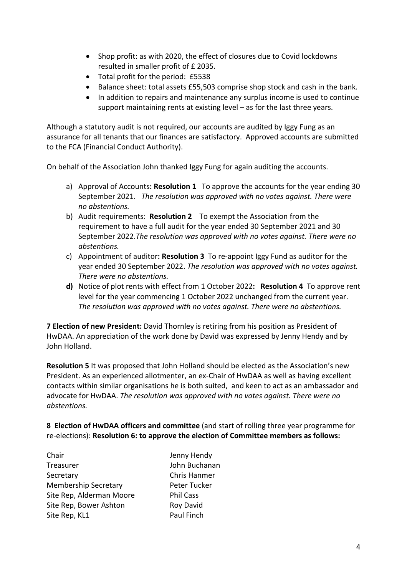- Shop profit: as with 2020, the effect of closures due to Covid lockdowns resulted in smaller profit of £ 2035.
- Total profit for the period: £5538
- Balance sheet: total assets £55,503 comprise shop stock and cash in the bank.
- In addition to repairs and maintenance any surplus income is used to continue support maintaining rents at existing level – as for the last three years.

Although a statutory audit is not required, our accounts are audited by Iggy Fung as an assurance for all tenants that our finances are satisfactory. Approved accounts are submitted to the FCA (Financial Conduct Authority).

On behalf of the Association John thanked Iggy Fung for again auditing the accounts.

- a) Approval of Accounts**: Resolution 1** To approve the accounts for the year ending 30 September 2021. *The resolution was approved with no votes against. There were no abstentions.*
- b) Audit requirements: **Resolution 2** To exempt the Association from the requirement to have a full audit for the year ended 30 September 2021 and 30 September 2022.*The resolution was approved with no votes against. There were no abstentions.*
- c) Appointment of auditor**: Resolution 3** To re-appoint Iggy Fund as auditor for the year ended 30 September 2022. *The resolution was approved with no votes against. There were no abstentions.*
- **d)** Notice of plot rents with effect from 1 October 2022**: Resolution 4** To approve rent level for the year commencing 1 October 2022 unchanged from the current year. *The resolution was approved with no votes against. There were no abstentions.*

**7 Election of new President:** David Thornley is retiring from his position as President of HwDAA. An appreciation of the work done by David was expressed by Jenny Hendy and by John Holland.

**Resolution 5** It was proposed that John Holland should be elected as the Association's new President. As an experienced allotmenter, an ex-Chair of HwDAA as well as having excellent contacts within similar organisations he is both suited, and keen to act as an ambassador and advocate for HwDAA. *The resolution was approved with no votes against. There were no abstentions.*

**8 Election of HwDAA officers and committee** (and start of rolling three year programme for re-elections): **Resolution 6: to approve the election of Committee members as follows:** 

| Chair                       | Jenny Hendy      |
|-----------------------------|------------------|
| Treasurer                   | John Buchanan    |
| Secretary                   | Chris Hanmer     |
| <b>Membership Secretary</b> | Peter Tucker     |
| Site Rep, Alderman Moore    | <b>Phil Cass</b> |
| Site Rep, Bower Ashton      | <b>Roy David</b> |
| Site Rep, KL1               | Paul Finch       |